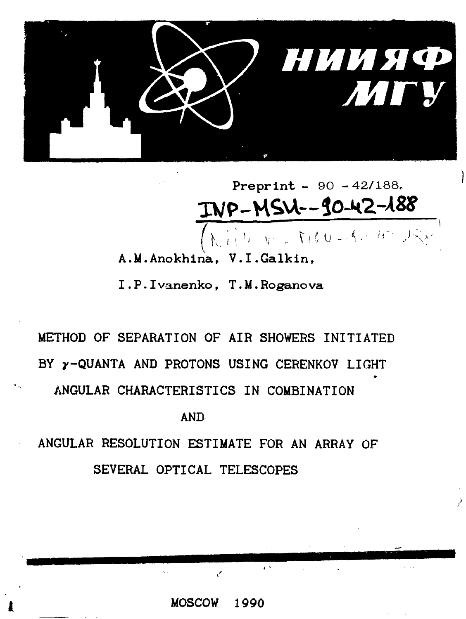

Preprint - 90 - 42/188.<br>TWP-MSU--90-42-188

**A.M.Anokhina., V.I.Galkin,**

**I.P.Ivanenkof T.M.Roganova**

# **METHOD OF SEPARATION OF AIR SHOWERS INITIATED BY y-QUANTA AND PROTONS USING CERENKOV LIGHT ANGULAR CHARACTERISTICS IN COMBINATION**

**AND**

**ANGULAR RESOLUTION ESTIMATE FOR AN ARRAY OF SEVERAL OPTICAL TELESCOPES**

**MOSCOW 1990**

 $\epsilon$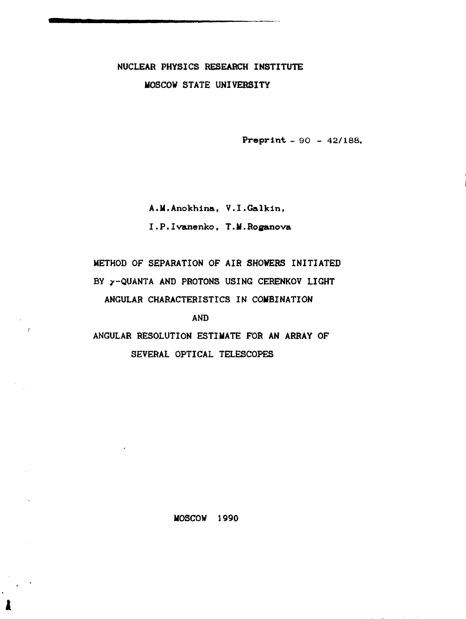# **NUCLEAR PHYSICS RESEARCH INSTITUTE MOSCOW STATE UNIVERSITY**

**Preprint \_ 90 - 42/188.**

**A.M.Anokhina, V.I.Galkin,**

**I.P.Ivanenko, T.M.Roganova**

**METHOD OF SEPARATION OF AIR SHOWERS INITIATED** BY  $\gamma$ -QUANTA AND PROTONS USING CERENKOV LIGHT **ANGULAR CHARACTERISTICS IN COMBINATION**

**AND**

 $\rightarrow$ 

**ANGULAR RESOLUTION ESTIMATE FOR AN ARRAY OF SEVERAL OPTICAL TELESCOPES**

**MOSCOW 1990**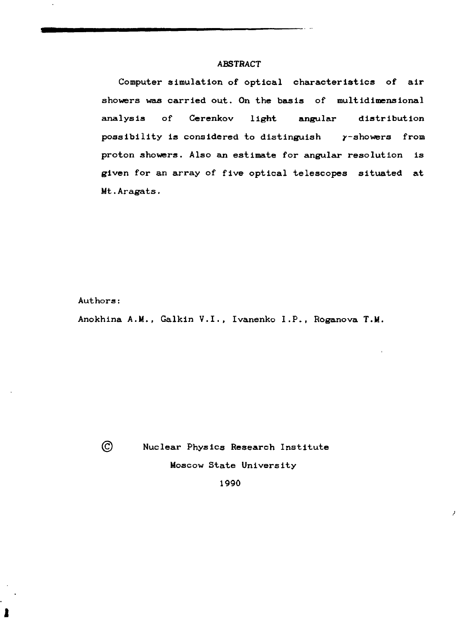#### **ABSTRACT**

Computer simulation of optical characteristics of air showers was carried out. On the basis of multidimensional analysis of Cerenkov light angular distribution possibility is considered to distinguish y-showers from proton showers. Also an estimate for angular resolution is given for an array of five optical telescopes situated at Mt.Aragats.

Authors:

Anokhina A.M., Galkin V.I., Ivanenko I.P., Roganova T.M.

 $\odot$ 

ł

Nuclear Physics Research Institute

Moscow State University

J.

1990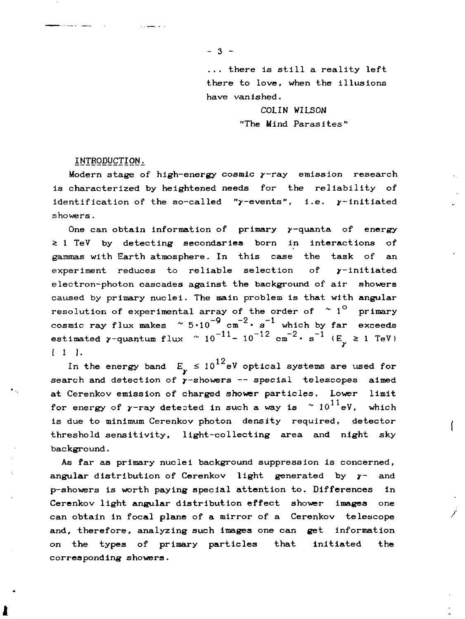$-3 -$ 

... there is still a reality left there to love, when the illusions have vanished.

> COLIN WILSON "The Mind Parasites"

#### INTRODUCTION.

Modern stage of high-energy cosmic y-ray emission research is characterized by heightened needs for the reliability of identification of the so-called " $\gamma$ -events", i.e.  $\gamma$ -initiated showers.

One can obtain information of primary  $\gamma$ -quanta of energy  $\geq 1$  TeV by detecting secondaries born in interactions of gammas with Earth atmosphere. In this case the task of an experiment reduces to reliable selection of y-initiated electron-photon cascades against the background of air showers caused by primary nuclei. The main problem is that with angular resolution of experimental array of the order of  $\sim 1^{\circ}$  primary  $cosmic \rightharpoonup f \rightharpoonup makes \rightharpoonup 5 \cdot 10^{-9} \rightharpoonup \rightharpoonup s^{-1}$  which by far exceeds estimated  $\gamma$ -quantum flux  $\sim 10^{-11} - 10^{-12}$  cm<sup>-2</sup>· s<sup>-1</sup> (E<sub>1</sub>  $\geq$  1 TeV) [ 1 ].

In the energy band  $\rm\,E_{1}^{\,}$   $\rm\leq 10^{12} eV$  optical systems are used for search and detection of  $\gamma$ -showers -- special telescopes aimed at Cerenkov emission of charged shower particles. Lower limit for energy of  $\gamma$ -ray detested in such a way is  $\sim 10^{11}$ eV, which is due to minimum Cerenkov photon density required, detector threshold sensitivity, light-collecting area and night sky background.

As far as primary nuclei background suppression is concerned, angular distribution of Cerenkov light generated by  $\gamma$ - and p-showers is worth paying special attention to. Differences in Cerenkov light angular distribution effect shower images one can obtain in focal plane of a mirror of a Cerenkov telescope and, therefore, analyzing such images one can get information on the types of primary particles that initiated the corresponding showers.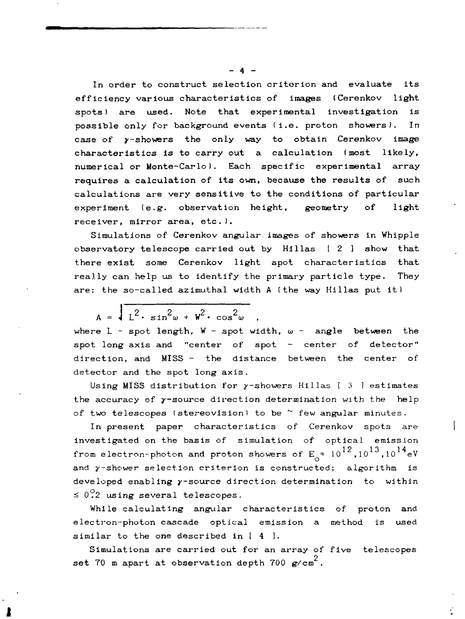In order to construct selection criterion and evaluate its efficiency various characteristics of images (Cerenkov light spots) are used. Note that experimental investigation is possible only for background events (i.e. proton showers). In case of y-showers the only way to obtain Cerenkov image characteristics is to carry out a calculation (most likely, numerical or Monte-Carlo). Each specific experimental array requires a calculation of its own, because the results of such calculations are very sensitive to the conditions of particular experiment (e.g. observation height, geometry of light receiver, mirror area, etc.).

Simulations of Cerenkov angular images of showers in Whipple observatory telescope carried out by  $Hillas$   $[2]$  show that there exist some Cerenkov light spot characteristics that really can help us to identify the primary particle type. They are: the so-called azimuthal width A (the way Hillas put it)

 $A = \sqrt{\frac{2}{L^2} \cdot \sin^2 \omega + w^2 \cdot \cos^2 \omega}$ where  $L$  - spot length,  $W$  - spot width,  $\omega$  - angle between the

spot long axis and "center of spot - center of detector" direction, and MISS - the distance between the center of detector and the spot long axis.

Using MISS distribution for  $\gamma$ -showers Hillas [ 3 ] estimates the accuracy of  $\gamma$ -source direction determination with the help of two telescopes (stereovision) to be  $^{\sim}$  few angular minutes.

In present paper characteristics of Cerenkov spots are investigated on the basis of simulation of optical emission from electron-photon and proton showers of  $\mathsf{E}^{\mathsf{u}}_{\mathsf{c}}$  = 10  $^{12}$  ,10  $^{13}$  ,10  $^{14}$  eV and y-shower selection criterion is constructed; algorithm is developed enabling  $\gamma$ -source direction determination to within  $\leq 0.2$  using several telescopes.

While calculating angular characteristics of proton and electron-photon cascade optical emission a method is used similar to the one described in [ 4 ].

Simulations are carried out for an array of five telescopes set 70 m apart at observation depth 700  $\mathrm{g/cm}^2$ .

 $- 4 -$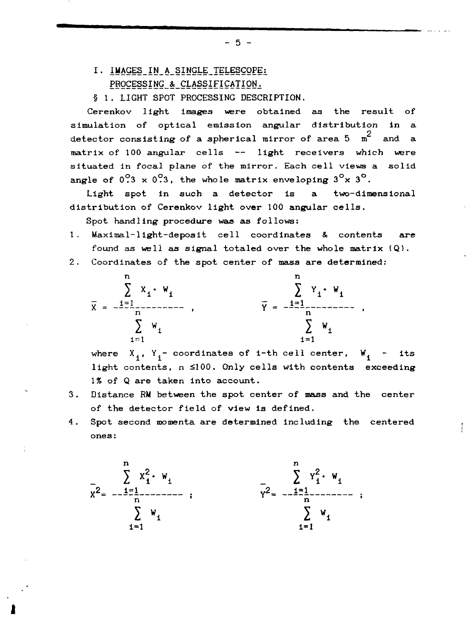- I. IMAGES IN A SINGLE TELESCOPE: PROCESSING & CLASSIFICATION.
- § 1. LIGHT SPOT PROCESSING DESCRIPTION.

Cerenkov light images were obtained as the result of simulation of optical emission angular distribution in a detector consisting of a spherical mirror of area  $5\pi^2$  and a matrix of 100 angular cells — light receivers which were situated in focal plane of the mirror. Each cell views a solid angle of  $0.3 \times 0.3$ , the whole matrix enveloping  $3^\circ \times 3^\circ$ .

Light spot in such a detector is a two-dimensional distribution of Cerenkov light over 100 angular cells.

Spot handling procedure waa as follows:

- 1. Maximal-1ight-deposit cell coordinates & contents are found as well as signal totaled over the whole matrix  $(Q)$ .
- 2. Coordinates of the spot center of mass are determined:



where  $X_1$ ,  $Y_1$ - coordinates of i-th cell center,  $W_1$  - its light contents,  $n \le 100$ . Only cells with contents exceeding 1% of Q are taken into account.

- Distance RM between the spot center of mass and the center  $3.$ of the detector field of view is defined.
- Spot second momenta are determined including the centered  $4.$  $\frac{1}{2}$ . Spot second momenta are determined including the centered including the centered including the centered including the centered including the centered including the centered including the centered including the



 $-5 -$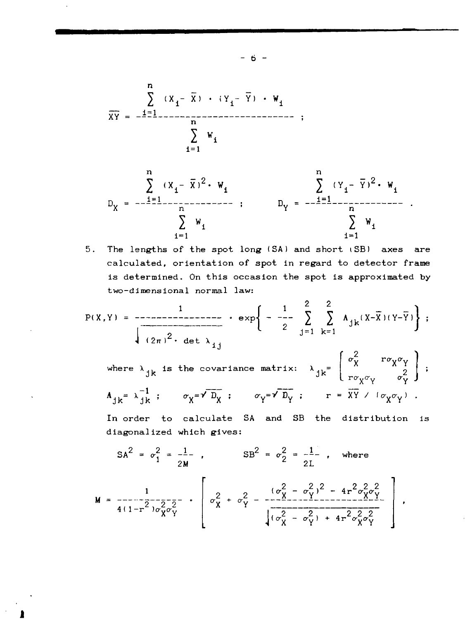



$$
P(X,Y) = \frac{1}{\sqrt{(2\pi)^2 \cdot \det \lambda_{ij}}} \cdot \exp\left\{-\frac{1}{2} \sum_{j=1}^{2} \sum_{k=1}^{2} \Lambda_{jk}(X-\bar{X})(Y-\bar{Y})\right\};
$$

where  $\lambda_{jk}$  is the covariance matrix:  $\lambda_{jk} = \begin{bmatrix} \sigma_X^2 & r \sigma_X \sigma_Y \\ r \sigma_V \sigma_V & \sigma_V^2 \end{bmatrix}$ ;  $A_{1k} = \lambda \frac{-1}{1k}$ ;  $\sigma_X = \sqrt{D_X}$ ;  $\sigma_Y = \sqrt{D_Y}$ ;  $r = \overline{XY} \vee (\sigma_X \sigma_Y)$ .

In order to calculate SA and SB the distribution is diagonalized which gives:

$$
SA^{2} = \sigma_{1}^{2} = \frac{1}{2M} , \qquad SB^{2} = \sigma_{2}^{2} = \frac{1}{2L} , \text{ where}
$$
\n
$$
M = \frac{1}{4(1 - r^{2})\sigma_{X}^{2}\sigma_{Y}^{2}} \cdot \begin{bmatrix} \sigma_{X}^{2} + \sigma_{Y}^{2} - \frac{(\sigma_{X}^{2} - \sigma_{Y}^{2})^{2} - 4r^{2}\sigma_{X}^{2}\sigma_{Y}^{2}}{(\sigma_{X}^{2} - \sigma_{Y}^{2}) + 4r^{2}\sigma_{X}^{2}\sigma_{Y}^{2}} \end{bmatrix}
$$

 $-6 -$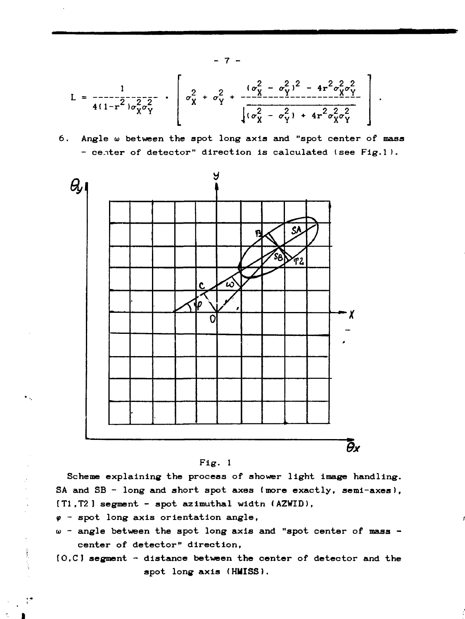$$
L = \frac{1}{4(1-r^2)\sigma_X^2\sigma_Y^2} \cdot \left[\sigma_X^2 + \sigma_Y^2 + \frac{(\sigma_X^2 - \sigma_Y^2)^2 - 4r^2\sigma_X^2\sigma_Y^2}{\sqrt{(\sigma_X^2 - \sigma_Y^2) + 4r^2\sigma_X^2\sigma_Y^2}}\right]
$$

**. Angle и between the spot long axis and "spot center of mass center of detector" direction is calculated (see Fig.l).**



**Fig. 1**

**Scheme explaining the process of shower light image handling. SA and SB - long and short spot axes (more exactly, semi-axes), [T1.T2] segment - spot azimuthal widtn (AZWID),**

*if -* **spot long axis orientation angle,**

 $\frac{1}{2}$ 

77

- **angle between the spot long axis and "spot center of mass center of detector" direction,**
- **[0,C] segment distance between the center of detector and the spot long axis (HMISS).**

 **7 -**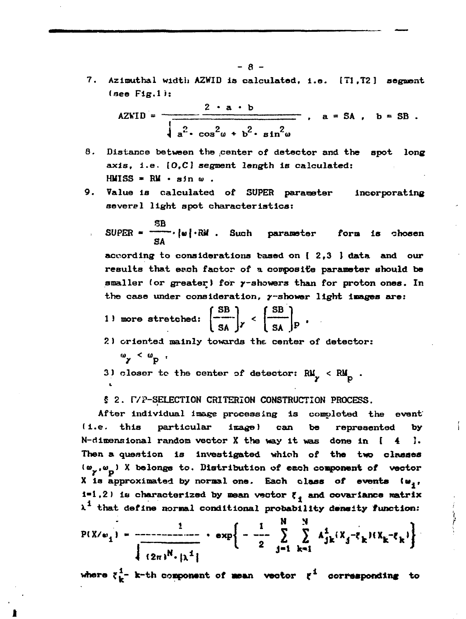7. Azimuthal width AZWID is calculated, i.e. [T1,T2] segment  $(see Fig.1):$ 

$$
AZWID = \frac{2 \cdot a \cdot b}{\sqrt{a^2 \cdot \cos^2 \omega + b^2 \cdot \sin^2 \omega}} , \quad a = SA , \quad b = SB.
$$

- 8. Distance between the center of detector and the spot long axis, i.e. [O,C] segment length is calculated: HMISS =  $\mathbb{R}$ M · sin  $\omega$ .
- 9. Value is calculated of SUPER parameter incorporating several light spot characteristics:

SUPER = 
$$
\frac{\text{SB}}{\text{SA}}
$$
,  $|w| \cdot \text{RM}$ . Such parameter form is chosen.

results that each factor of a composite parameter should be smaller (or greater) for y-showers than for proton ones. In the case under consideration,  $y$ -shower light images are:

1) more stretched: 
$$
\left(\frac{\text{SB}}{\text{SA}}\right)_Y < \left(\frac{\text{SB}}{\text{SA}}\right)_P
$$
.

2) criented mainly towards the center of detector:

 $\omega_{\mathbf{y}} \ \leq \ \omega_{\mathbf{p}} \ \ ,$ 

3) closer to the center of detector:  $RM_y < RM_p$ .

\$ 2. F/P-SELECTION CRITERION CONSTRUCTION PROCESS.

After individual image processing is completed the event particular  $(i.e.$  this  $image)$ can be represented by  $N$ -dimensional random vector X the way it was done in [  $\blacktriangleleft$ 1. Then a question is investigated which of the two classes  $(w_y, w_0)$  X belongs to. Distribution of each component of vector X is approximated by normal one. Each class of events (w,,  $i=1,2$ ) is characterized by mean vector  $\xi$ , and covariance matrix  $\lambda^1$  that define normal conditional probability density function:

 $\frac{1}{1}$ 

ーーーー

$$
P(X/\omega_1) = \frac{1}{\sqrt{2\pi N \cdot \mu^2}}
$$
  $\exp\left\{-\frac{1}{2} \sum_{j=1}^{N} \sum_{k=1}^{N} A_{jk}^2 (X_j - \bar{\epsilon}_k) (X_k - \bar{\epsilon}_k)\right\}$ 

where  $\xi_k^1$ - k-th component of mean vector  $\xi^1$  corresponding to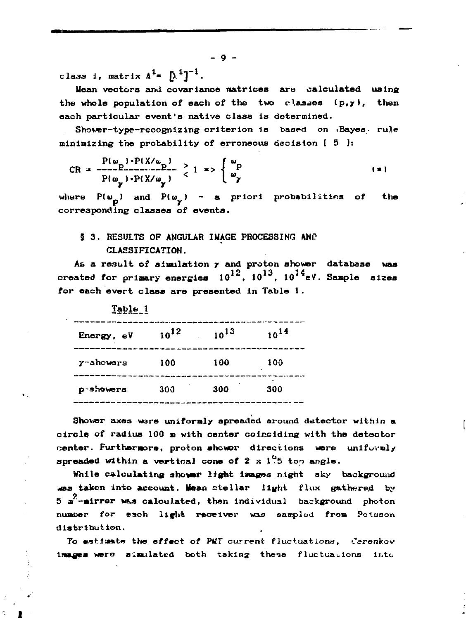class 1, matrix  $A^1 = \int \lambda^1 1^{-1}$ .

Mean vectors and covariance matrices are calculated using the whole population of each of the two classes  $(p, y)$ , then each particular event's native class is determined.

Shower-type-recognizing criterion is based on Bayes rule minimizing the probability of erroneous decision  $\begin{bmatrix} 5 \end{bmatrix}$ :

$$
CR = \frac{P(\omega_1) \cdot P(X/\omega_1)}{P(\omega_1) \cdot P(X/\omega_1)} \ge 1 \Rightarrow \begin{cases} \omega_P \\ \omega_P \end{cases}
$$
 (\*)

where  $P(\omega_{n})$  and  $P(\omega_{n})$  - a priori probabilities of the corresponding classes of events.

# § 3. RESULTS OF ANGULAR INAGE PROCESSING AND CLASSIFICATION.

As a result of simulation y and proton shower database was created for primary energies  $10^{12}$ ,  $10^{13}$ .  $10^{14}$ eV. Sample sizes for each evert class are presented in Table 1.

| Table_1           |      |           |           |
|-------------------|------|-----------|-----------|
| Energy, eV        | 1012 | $10^{13}$ | $10^{14}$ |
| $\gamma$ -showers | 100  | 100       | 100       |
| p-showers         | 300  | 300       | 300       |

Shower axes were uniformly spreaded around detector within a circle of radius 100 m with center coinciding with the detector center. Furthermore, proton shower directions were uniformly spreaded within a vertical cone of 2 x  $1\overset{0}{\cdot}5$  ton angle.

While calculating shower light images night sky background was taken into account. Mean stellar light flux gathered by 5  $\pi^2$ -mirrer was calculated, then individual background photon number for each light receiver was sampled from Potsson distribution.

To estimate the effect of PMT current fluctuations, Cerenkov images were simulated both taking these fluctuations into

 $-9 -$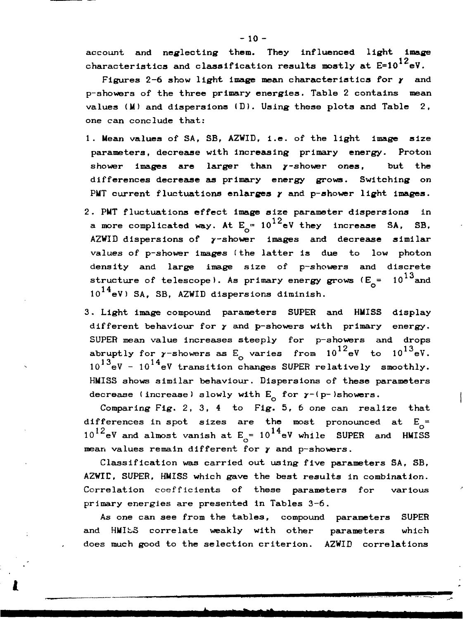account and neglecting them. They influenced light image characteristics and classification results mostly at  $E=10^{12}$ eV.

Figures 2-6 show light image mean characteristics for *у* and p-showers of the three primary energies. Table 2 contains mean values  $(M)$  and dispersions  $(D)$ . Using these plots and Table 2, one can conclude that:

- 1. Mean values of SA, SB, AZWID, i.e. of the light image size parameters, decrease with increasing primary energy. Proton shower images are larger than  $\gamma$ -shower ones, but the differences decrease as primary energy grows. Switching on PMT current fluctuations enlarges *у* and p-shower light images.
- 2. PMT fluctuations effect image size parameter dispersions in a more complicated way. At  $E_{\rm{m}}=10^{12}$ eV they increase SA, SB, AZWID dispersions of y-shower images and decrease similar values of p-shower images (the latter is due to low photon density and large image size of p-showers and discrete structure of telescope). As primary energy grows ( $E_{\rm c}$  =  $10^{13}$  and  $10^{14}$ eV) SA. SB. AZWID dispersions diminish.
- 3. Light image compound parameters SUPER and HMISS display different behaviour for *у* and p-showers with primary energy. SUPER mean value increases steeply for p-showers and drops abruptly for  $\gamma$ -showers as E<sub>o</sub> varies from  $10^{12}$  eV to  $10^{13}$  eV.  $10^{13}$ eV -  $10^{14}$ eV transition changes SUPER relatively smoothly. HWISS shows similar behaviour. Dispersions of these parameters decrease (increase) slowly with  $E_n$  for  $\gamma$ -(p-)showers.

Comparing Fig. 2, 3, 4 to Fig. 5, 6 one can realize that differences in spot sizes are the most pronounced at  $E_{\alpha}$ =  $10^{12}$ eV and almost vanish at E<sub>1</sub>=  $10^{14}$ eV while SUPER and HMISS mean values remain different for y and p-showers.

Classification was carried out using five parameters SA, SB, AZWII, SUPER, HMISS which gave the best results in combination. Correlation coefficients of these parameters for various primary energies are presented in Tables 3-6.

As one can see from the tables, compound parameters SUPER and HMISS correlate weakly with other parameters which does much good to the selection criterion. AZWID correlations

 $-10 -$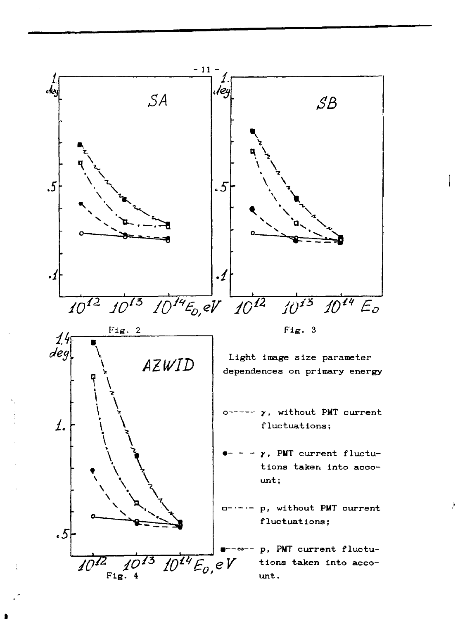

 $\mathcal{E}_i$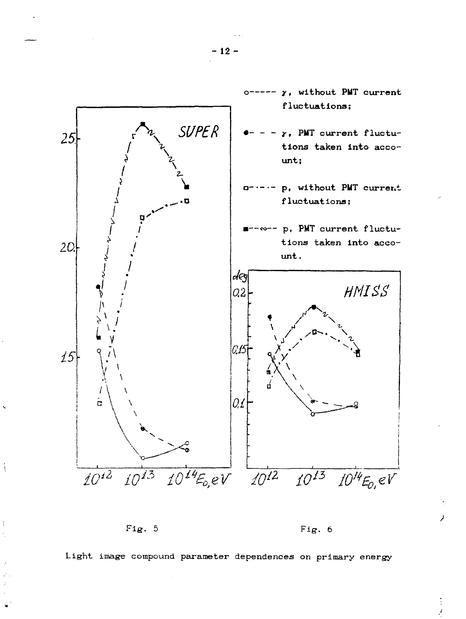![](_page_12_Figure_0.jpeg)

Fig.  $5$ 

ţ

Fig. 6

Light image compound parameter dependences on primary energy

 $-12-$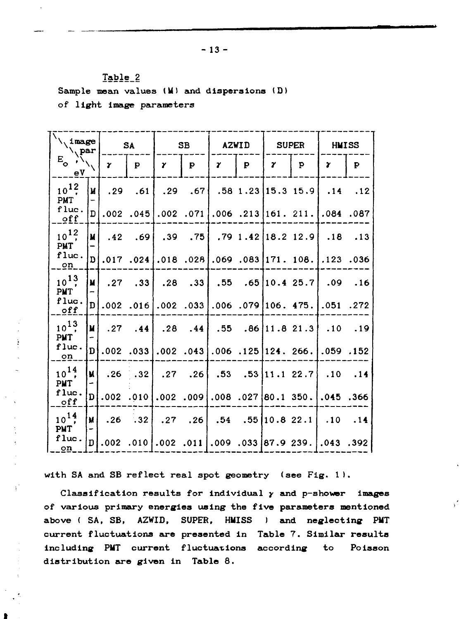**Table\_2** Sample mean values (M) and dispersions (D) **of light image parameters**

 — — — **\^Image SA SB AZWID SUPER HMISS Vpar ' 1 1' 1'**  $E_{\circ}$   $\left\langle \right\rangle_{\text{N}}$ p *V 7 r 7*  $\mathbf{y}$ **P** *7* **n**  $\overline{\phantom{a}}$  $10^{12}$ **.67 M .29 .61 .29 .58 1.23 15. 3 15.9 .14 .12 PMT flue « D .002 .045 .002 .071 .006 .213 161 . 211. .084 .087 off**  $10^{12}$ **.75 .79 1 .42 18. 2 12.9 M .42 .69 .39 .18 .13 PMT flue • D .017 .024 .018 .028 .069 .083 171 . 108. .123 .036 on**  $10^{13}$ **.33 .55 .65 10. 4 25.7 M .27 .33 .28 .09 .16 PMT flue • D .006 .079 106 . 475. .002 .016 .002 .033 .051 .272 off 1 ? M .27 .28 .44 .55 .86 11. 8 21.3 .44 .10 .19 PMT flue • D .002 .033 .002 .043 .006 .125 124 . 266. .059 .152 on**  $^{14}$ **.26 .53 . 1 22.7 M .26 .32 .27 .53 .10 .14 PMT flue •** D **.002 .010 .008 .027 80. 1 350. .045 .366 .002 .009 off**  $,^1;$ **.26 .32 .27 .26 .54 .55 10. 8 22.1 M .10 .14 PMT flue .002 .010 .002 .011 .009 .033 87. 9 239.** D **.043 .392 on**

į

 $\mathbf{r}$ 

**with SA and SB reflect real spot geometry (see Fig. 1).**

**Classification results for individual у and p-shower images of various primary energies using the five parameters mentioned above ( SA, SB, AZWID, SUPER, HMISS ) and neglecting PMT current fluctuations are presented in Table 7. Similar results including PMT current fluctuations according to Poisson distribution are given in Table 8.**

yř.

 $-13 -$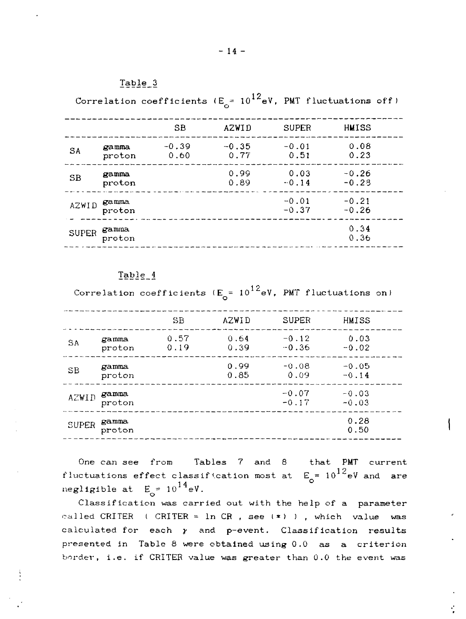#### Table 3

Correlation coefficients (E =  $10^{12}$ eV, PMT fluctuations off

|              |                 | SB              | AZWID           | <b>SUPER</b>       | HMISS              |  |
|--------------|-----------------|-----------------|-----------------|--------------------|--------------------|--|
| <b>SA</b>    | gamma<br>proton | $-0.39$<br>0.60 | $-0.35$<br>0.77 | $-0.01$<br>0.51    | 0.08<br>0.23       |  |
| SB           | gamma<br>proton |                 | 0.99<br>0.89    | 0.03<br>$-0.14$    | $-0.26$<br>$-0.28$ |  |
| <b>AZWID</b> | gamma<br>proton |                 |                 | $-0.01$<br>$-0.37$ | $-0.21$<br>$-0.26$ |  |
| <b>SUPER</b> | gamma<br>proton |                 |                 |                    | 0.34<br>0.36       |  |

#### Table 4

Correlation coefficients  $(E_{o} = 10^{12} eV$ , PMT fluctuations on)

|              |                 | $_{\rm SB}$  | AZWID        | <b>SUPER</b>       | HMISS              |  |
|--------------|-----------------|--------------|--------------|--------------------|--------------------|--|
| <b>SA</b>    | gamma<br>proton | 0.57<br>0.19 | 0.64<br>0.39 | $-0.12$<br>$-0.36$ | 0.03<br>$-0.02$    |  |
| SE           | gamma<br>proton |              | 0.99<br>0.85 | $-0.08$<br>0.09    | $-0.05$<br>$-0.14$ |  |
| AZWID        | gamma<br>proton |              |              | $-0.07$<br>$-0.17$ | $-0.03$<br>$-0.03$ |  |
| <b>SUPER</b> | gamma<br>proton |              |              |                    | 0.28<br>0.50       |  |

One can see from Tables 7 and 8 that PMT current *fluctuations effect classification most at*  $E_{\rm g} = 10^{12}$  eV and are negligible at  $E_0 = 10^{14} eV$ .

Classification was carried out with the help of a parameter called CRITER ( CRITER =  $\ln$  CR, see (\*) ), which value was calculated for each  $y$  and p-event. Classification results presented in Table 8 were obtained using 0.0 as a criterion border, i.e. if CRITER value was greater than  $0.0$  the event was

÷.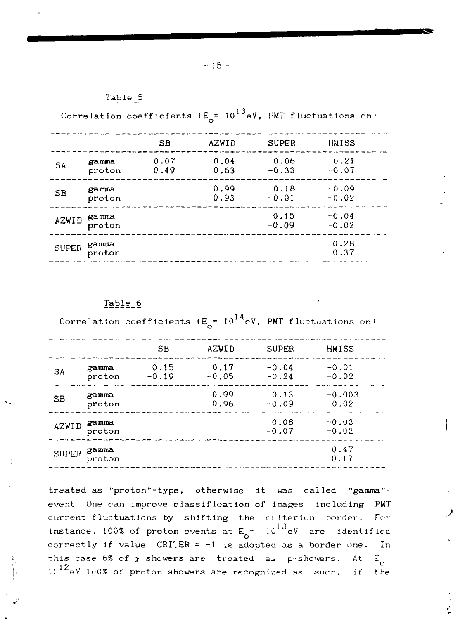### Table 5

Correlation coefficients ( $E_{\alpha}$ = 10<sup>13</sup>eV, PMT fluctuations on)

|              |                 | SB              | <b>AZWID</b>    | <b>SUPER</b>    | HMISS              |  |
|--------------|-----------------|-----------------|-----------------|-----------------|--------------------|--|
| SΑ           | gamma<br>proton | $-0.07$<br>0.49 | $-0.04$<br>0.63 | 0.06<br>$-0.33$ | 0.21<br>$-0.07$    |  |
| SB           | gamma<br>proton |                 | 0.99<br>0.93    | 0.18<br>$-0.01$ | $-0.09$<br>$-0.02$ |  |
| AZWID        | gamma<br>proton |                 |                 | 0.15<br>$-0.09$ | $-0.04$<br>$-0.02$ |  |
| <b>SUPER</b> | gamma<br>proton |                 |                 |                 | 0.28<br>0.37       |  |

#### Table 6

Correlation coefficients  $(E_{\rho} = 10^{14} eV$ , PMT fluctuations on)

|              |                 | SВ              | AZWID           | <b>SUPER</b>       | HMISS               |  |
|--------------|-----------------|-----------------|-----------------|--------------------|---------------------|--|
| SA           | gamma<br>proton | 0.15<br>$-0.19$ | 0.17<br>$-0.05$ | $-0.04$<br>$-0.24$ | $-0.01$<br>$-0.02$  |  |
| SB           | gamma<br>proton |                 | 0.99<br>0.96    | 0.13<br>$-0.09$    | $-0.003$<br>$-0.02$ |  |
| AZWID        | gamma<br>proton |                 |                 | 0.08<br>$-0.07$    | $-0.03$<br>$-0.02$  |  |
| <b>SUPER</b> | gamma<br>proton |                 |                 |                    | 0.47<br>0.17        |  |

treated as "proton"-type, otherwise it. was called "gamma" event. One can improve classification of images including PMT current fluctuations by shifting the criterion border. For instance, 100% of proton events at  $\mathsf{E}_{\mathsf{L}}$  =  $10^{13}$ eV are identified correctly if value CRITER = -1 is adopted as a border *one.* In this case 6% of y-showers are treated as p-showers. At  $E_{0}$ - $10^{12}$ eV 100% of proton showers are recognized as such, if the 10 aV 100% of proton showers are recognised as such, it' the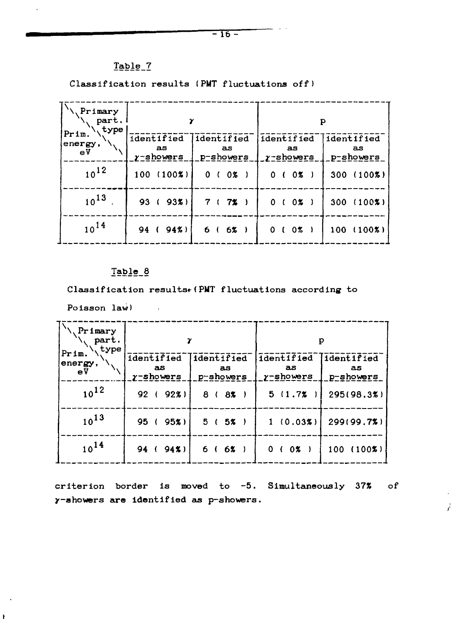# Table\_7

Classification results (PMT fluctuations off)

| Primary<br>part.<br>type |                                  |                                |                                  | P                             |
|--------------------------|----------------------------------|--------------------------------|----------------------------------|-------------------------------|
| Prim.<br>energy,<br>ΘV   | identified<br>aз<br>$y$ -showers | identified<br>as.<br>p-showers | identified<br>aз<br>$y$ -showers | identified<br>as<br>p-showers |
| $10^{12}$                | $100(100\%)$                     | 0 (0 x)                        | 0 ( 0% )                         | $300(100\%)$                  |
| $10^{13}$                | 93%<br>93(                       | 7 ( 7% )                       | 0 (0 x)                          | $300(100\%)$                  |
| $10^{14}$                | 94 (94%)                         | 6(6% )                         | $0\%$ )<br>0 <sup>1</sup>        | $100(100\%)$                  |

## Taple\_8

Classification results. (PMT fluctuations according to

Poisson law)

 $\bullet$ 

ł.

| Primary<br>part.<br>type |                                  |                                 |                               | р                              |
|--------------------------|----------------------------------|---------------------------------|-------------------------------|--------------------------------|
| Prim.<br>energy,<br>еV   | identified<br>as<br>$y$ -showers | dentified<br>as<br>$p$ -showers | identified<br>as<br>y-showers | identified<br>as.<br>p-showers |
| $10^{12}$                | 92%<br>92(                       | 8 ( 8% )                        | 5(1.7%                        | 295(98.3%)                     |
| $10^{13}$                | 95(<br>95x                       | 5(5% )                          | 1(0.03%)                      | 299(99.7%)                     |
| $10^{14}$                | 94 (<br>$94\%$                   | 6(6x)                           | 0 (0 x)                       | $(100\%)$<br>100               |

criterion border is moved to -5. Simultaneously 37% of y-ahovers **are** identified as p-showers.

 $\mathbf{r}$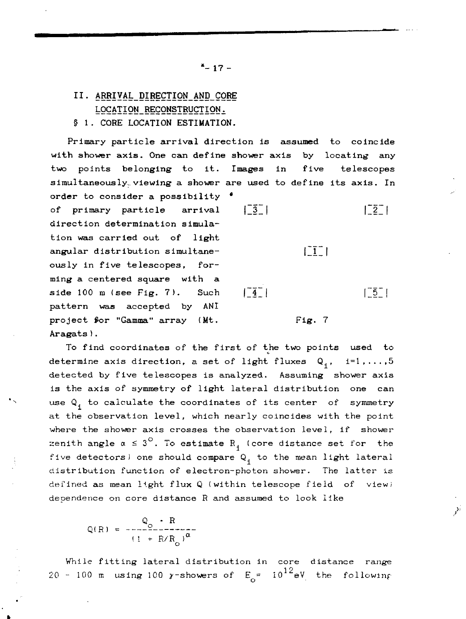# II. ARRIVAL DIRECTION AND CORE LOCATION RECONSTRUCTION.

§ 1. CORE LOCATION ESTIMATION.

**Primary particle arrival direction is assumed to coincide with shower axis. One can define shower axis by locating any two points belonging to it. Images in five telescopes simultaneously., viewing a shower are used to define its axis. In order to consider a possibility \*** of primary particle arrival  $\begin{bmatrix} -\overline{3} \\ 1 \end{bmatrix}$   $\begin{bmatrix} -\overline{2} \\ 1 \end{bmatrix}$ **direction determination simula tion was carried out of light** angular distribution simultane<sup>-</sup>  $\begin{bmatrix} 1 \\ 1 \end{bmatrix}$ **ously in five telescopes, for ming a centered square with a** side 100 m (see Fig. 7). Such  $\begin{bmatrix} 4 \\ 1 \end{bmatrix}$  |  $\begin{bmatrix} 5 \\ 1 \end{bmatrix}$ **pattern was accepted by ANI** project for "Gamma" array (Mt. Fig. 7 **Aragats).**

**To find coordinates of the first of the two points used to** determine axis direction, a set of light fluxes  $Q_1$ ,  $i=1,\ldots,5$ **detected by five telescopes is analyzed. Assuming shower axis is the axis of symmetry of light** lateral distribution one **can** use Q. to calculate **the coordinates** of its **center** of **symmetry** at the observation level, **which** nearly coincides **with the** point where the shower axis crosses the observation level, if shower zenith angle  $\alpha \leq 3^\circ$ . To estimate R<sub>1</sub> (core distance set for the five detectors) one should compare  $Q_i$  to the mean light lateral distribution function of electron-photon shower. The latter is defined as mean light **flux** Q (within telescope field of view) dependence on core distance R and assumed to look like

$$
Q(R) = \frac{Q_0 \cdot R}{(1 + R/R_0)^{\alpha}}
$$

While fitting lateral distribution in core distance range 20 - 100 m using 100  $\gamma$ -showers of  $E_{\rm o} = 10^{12} eV$  the following  $\mathcal{P}^{\mathcal{G}}$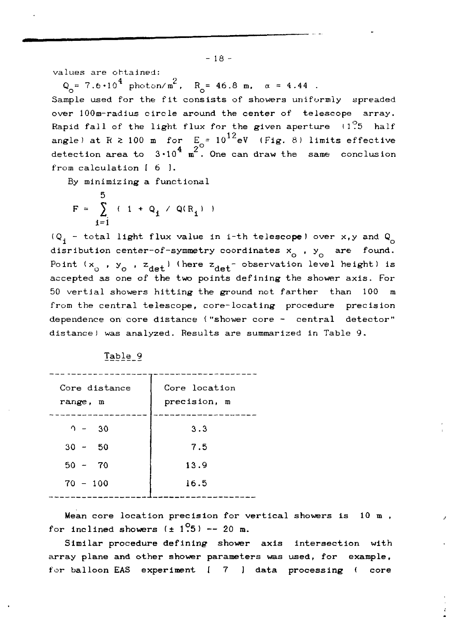values are obtained:

 $Q_{\alpha} = 7.6 \cdot 10^4$  photon/m<sup>2</sup>,  $R_{\alpha} = 46.8$  m,  $\alpha = 4.44$  .

Sample used for the fit consists of showers uniformly spreaded over 100m-radius circle around the center of telescope array. Rapid fall of the light flux for the given aperture  $\{1\}$ <sup>o</sup> half angle) at R  $\geq$  100 m for  $F = 10^{12}$   $\text{eV}$  (Fig. 8) limits effective detection area to  $3\cdot 10^{\frac{4}{9}}$  m<sup>2</sup>. One can draw the same conclusion from calculation  $[6]$ .

By minimizing a functional

$$
F = \sum_{i=1}^{5} (1 + Q_i / Q(R_i))
$$

 $f(Q_i - \text{total light flux value in i-th telescope})$  over x,y and  $Q_i$ disribution center-of-symmetry coordinates  $x_0$ ,  $y_0$  are found. Point (x<sub>o</sub> , y<sub>o</sub> , z<sub>det</sub>) (here z<sub>det</sub>- observation level height) is accepted as one of the two points defining the shower axis. For 50 vertial showers hitting the ground not farther than 100 m from the central telescope, core-locating procedure precision dependence on core distance ("shower core - central detector" distance) was analyzed. Results are summarized in Table 9.

| Core distance<br>range, m | Core location<br>precision, m |
|---------------------------|-------------------------------|
| $2 - 30$                  | 3.3                           |
| $30 - 50$                 | 7.5                           |
| $50 - 70$                 | 13.9                          |
| $70 - 100$                | 16.5                          |

Table 9

Mean core location precision for vertical showers is 10 m , for inclined showers  $(\pm 1.95)$  -- 20 m.

Similar procedure defining shower axis intersection with array plane and other shower parameters was used, for example, for balloon EAS experiment [ 7 ] data processing ( core

 $-18 -$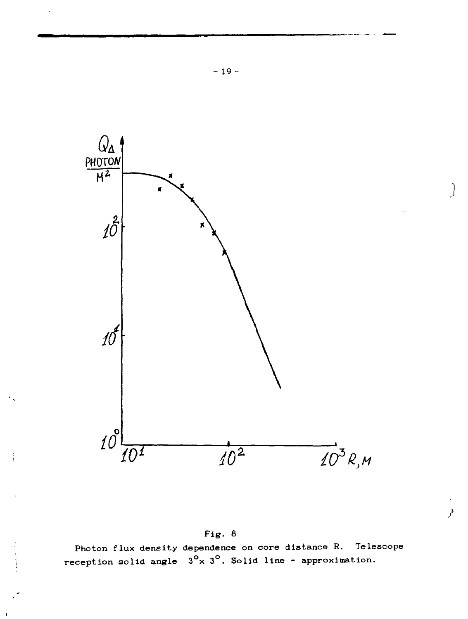![](_page_19_Figure_0.jpeg)

Fig. 8

ł

Photon flux density dependence on core distance R. Tele<br>reception solid angle  $3^{\circ}$ x  $3^{\circ}$ . Solid line - approximation. Telescope فو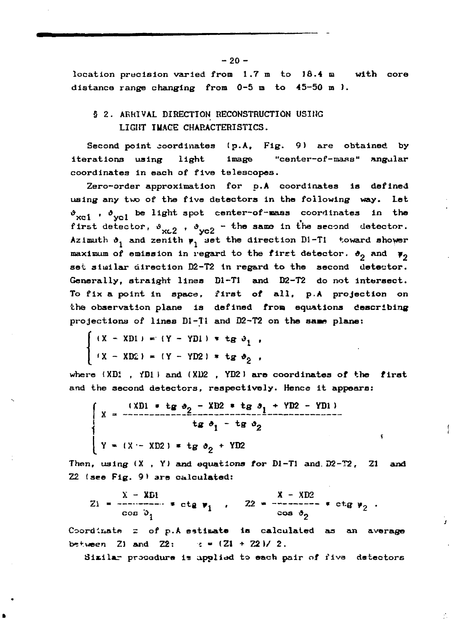**location precision varied from 1.7 m to 18.4 m with core distance range changing from 0-5 m to 45-50 m ).**

## **S 2. ARRIVAL DIRECTION RECONSTRUCTION USING LIGHT IUAGE CHARACTERISTICS.**

**Second point coordinates (p.A, Fig. 9) are obtained by iterations using light image "center-of -тпдяа" angular coordinates in each of five telescopes.**

**Zero-order approximation for p.A coordinates is defined using any two of the five detectors in the following way. Let «>** *. , б* **i be light spot center~of-maas coordinates in the** first detector,  $\vartheta$ <sub>y</sub>,  $\rho$ ,  $\vartheta$ <sub>y<sub>02</sub> - the same in the second detector.</sub> Azimuth  $\vartheta_1$  and zenith  $\psi_1$  set the direction  $DI-T1$  toward shower maximum of emission in regard to the first detector.  $\theta_0$  and  $\psi_0$ **set similar direction D2-T2 in regard to the second detector. Generally, straight lines Dl-Tl and D2-T2 do not intersect. To fix a point in space, first of all, p.A projection on the observation plane Is defined from equations describing** projections of lines Di-Tl and D2-T2 on the same plane:

$$
\begin{cases}\n(X - XDI) = (Y - YDI) * tg \theta_1, \\
(X - XD2) = (Y - YD2) * tg \theta_2,\n\end{cases}
$$

**where (XD1 , fDlI and {XD2 , YD2J are coordinates of the first and the second detectors, respectively. Hence it appears:**

$$
\begin{cases}\nx = \frac{(xD) + tg \theta_2 - XB2 + tg \theta_1 + YD2 - YD1)}{tg \theta_1 - tg \theta_2} \\
Y = (x - XP) + tg \theta_2 + YD2\n\end{cases}
$$

**Then, using (X , Y) and equations** *tar* **Dl-Tl and. D2-T2, Zl and 22 (see Fig. 9) are calculated:**

Ŷ.

$$
Z_1 = \frac{X - XD1}{\cos 3\pi} + \text{ctg } v_1, \quad Z_2 = \frac{X - XD2}{\cos 3\pi} + \text{ctg } v_2.
$$

**Coordinatfi** *z* **of p.A estimate is calculated as an average**  $\text{between}$  21 and 22:  $\text{1}$   $\text{2}$   $\text{2}$   $\text{1}$   $\text{2}$   $\text{2}$   $\text{2}$   $\text{2}$ .

**Similar pracodure ie applied to each pair of fiva detectors**

 $-20 -$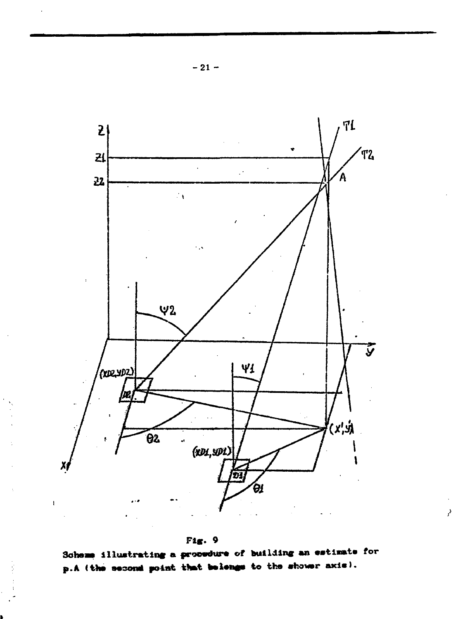![](_page_21_Figure_0.jpeg)

![](_page_21_Figure_1.jpeg)

Scheme illustrating a procedure of building an estimate for p.A (the second point that belongs to the shower axis).

þ.

 $-21-$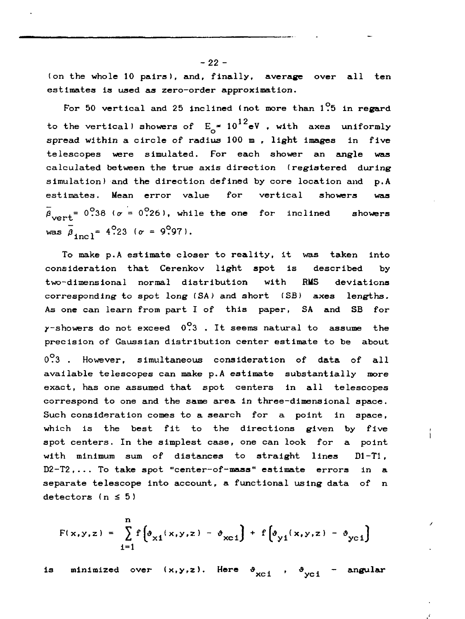(on the whole 10 pairs), and, finally, average over all ten estimates is used as zero-order approximation.

For 50 vertical and 25 inclined (not more than  $1^\circ$ 5 in regard to the vertical) showers of  $E_{\rm c}$  =  $10^{12}$ eV , with axes uniformly spread within a circle of radius 100 m , light images in five telescopes were simulated. For each shower an angle was calculated between the true axis direction (registered during simulation) and the direction defined by core location and p.A estimates. Mean error value for vertical showers was  $\bar{\beta}_{\text{const}}$  = 0.38 ( $\sigma$  = 0.26), while the one for inclined showers was  $\bar{\beta}_{\text{inc}} = 4.23$  ( $\sigma = 9.97$ ).

To make p.A estimate closer to reality, it was taken into consideration that Cerenkov light spot is described by two-dimensional normal distribution with RMS deviations corresponding to spot long *ISA)* and short (SB) axes lengths. As one can learn from part I of this paper, SA and SB for  $\gamma$ -showers do not exceed  $0.3$  . It seems natural to assume the precision of Gaussian distribution center estimate to be about 0.3 . However, simultaneous consideration of data of all available telescopes can make p.A estimate substantially more exact, has one assumed that spot centers in all telescopes correspond to one and the same area in three-dimensional space. Such consideration comes to a search for a point in space, which is the best fit to the directions given by five spot centers. In the simplest case, one can look for a point with minimum sum of distances to straight lines D1-T1. D2-T2,... To take spot "center-of-mass" estimate errors in a separate telescope into account, a functional using data of n detectors  $(n \leq 5)$ 

i

$$
F(x,y,z) = \sum_{i=1}^{n} f\left[\vartheta_{x1}(x,y,z) - \vartheta_{xC1}\right] + f\left[\vartheta_{y1}(x,y,z) - \vartheta_{yC1}\right]
$$

is minimized over  $(x,y,z)$ . Here  $\vartheta_{\text{xc}i}$  ,  $\vartheta_{\text{yc}i}$  - angular

 $-22 -$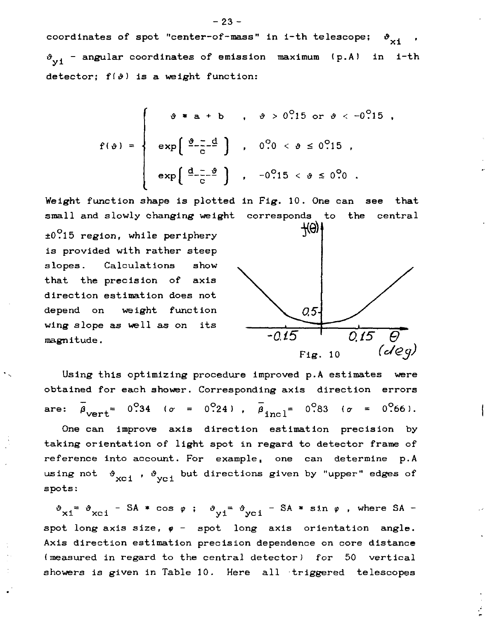coordinates of spot "center-of-mass" in i-th telescope;  $\mathfrak{d}_{\chi_1}$  $\vartheta_{\rm v,1}$  - angular coordinates of emission maximum (p.A) in i-th detector;  $f(\vartheta)$  is a weight function:

$$
f(\theta) = \begin{cases} \theta * a + b & , \theta > 0.15 \text{ or } \theta < -0.15 \\ \exp\left(\frac{\theta - d}{c}\right) & , \theta.00 < \theta \le 0.15 \\ \exp\left(\frac{d - 3}{c}\right) & , \theta.0015 < \theta \le 0.0015 \end{cases}
$$

Weight function shape is plotted in Fig. 10. One can see that small and slowly changing weight corresponds to the central

 $±0.15$  region, while periphery is provided with rather steep slopes. Calculations show that the precision of axis direction estimation does not depend on weight function wing slope as well as on its magnitude.  $-0.15$ 

![](_page_23_Figure_4.jpeg)

Using this optimizing procedure improved p.A estimates were obtained for each shower. Corresponding axis direction errors are:  $\beta_{\text{vert}} = 0.34$  ( $\sigma = 0.24$ ),  $\overline{\beta}_{\text{incl}} = 0.83$  ( $\sigma = 0.66$ ). One can improve axis direction estimation precision by taking orientation of light spot in regard to detector frame of reference into account. For example, one can determine p.A using not  $\begin{array}{c} \mathfrak{g}\text{-}\mathfrak{g}\text{-}\mathfrak{g}\text{-}\mathfrak{g}\text{-}\mathfrak{g}\text{-}\mathfrak{g}\text{-}\mathfrak{g}\text{-}\mathfrak{g}\text{-}\mathfrak{g}\text{-}\mathfrak{g}\text{-}\mathfrak{g}\text{-}\mathfrak{g}\text{-}\mathfrak{g}\text{-}\mathfrak{g}\text{-}\mathfrak{g}\text{-}\mathfrak{g}\text{-}\mathfrak{g}\text{-}\mathfrak{g}\text{-}\mathfrak{g}\text{-}\mathfrak{g}\text{-}\mathfrak{g}\text{-}\mathfrak{g}\text{-}\mathfrak{$ spots:

xi<sup>=</sup>  $\vartheta_{\text{xci}}$  - SA \* cos  $\varphi$  ;  $\vartheta_{\text{yi}}$ =  $\vartheta_{\text{yci}}$  - SA \* sin  $\varphi$  , where SA spot long axis size,  $\varphi$  - spot long axis orientation angle. Axis direction estimation precision dependence on core distance (measured in regard to the central detector) for 50 vertical showers is given in Table 10. Here all triggered telescopes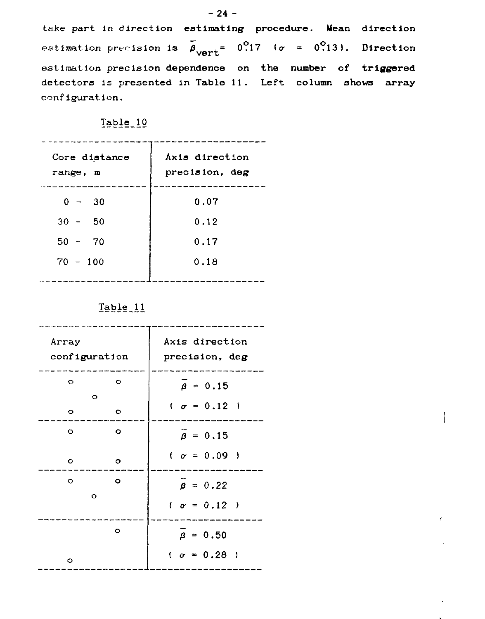take part In **direction estimating procedure. Mean direction** estimation precision is  $\bar{\beta}_{\text{vert}} = 0.17$  ( $\sigma = 0.13$ ). Direction estimation precision **dependence on the number of triggered detectors is presented in Table 11. Left column shows array** configuration.

ţ

## Table 10

| Core distance<br>range, m | Axis direction<br>precision, deg |
|---------------------------|----------------------------------|
| $0 - 30$                  | 0.07                             |
| $30 - 50$                 | 0.12                             |
| $50 - 70$                 | 0.17                             |
| $70 - 100$                | 0.18                             |
|                           |                                  |

Table 11

| Array<br>configuration |           | Axis direction<br>precision, deg |
|------------------------|-----------|----------------------------------|
| $\circ$                | $\circ$   | $\bar{\beta} = 0.15$             |
|                        | $\circ$   | $\sigma = 0.12$ )                |
| $\circ$                | $\circ$   |                                  |
| $\circ$                | $\circ$   | $\beta = 0.15$                   |
| o                      | $\circ$   | $(r = 0.09)$                     |
| $\circ$                | $\bullet$ | $\beta = 0.22$                   |
| $\circ$                |           |                                  |
|                        |           | $(r = 0.12)$                     |
|                        | $\circ$   | $\beta = 0.50$                   |
| $\circ$                |           | $(r = 0.28)$                     |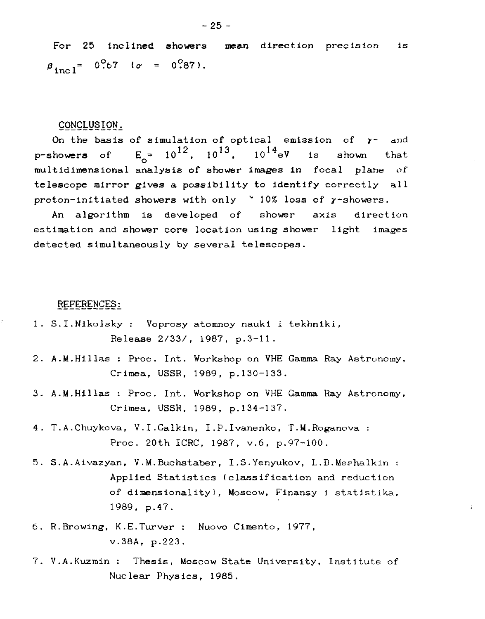#### CONCLUSION,.

On the basis of simulation of optical emission of  $\gamma$ - and **p-showers** of  $E_{\sim} = 10^{12}$ ,  $10^{13}$ ,  $10^{14}$ eV is shown that multidimensional analysis of shower images in focal plane of telescope mirror gives a possibility to identify correctly all proton-initiated showers with only  $\sim$  10% loss of y-showers.

An algorithm is developed of shower axis direction estimation and shower core location using shower light images detected simultaneously by several telescopes.

#### REFERENCES:

ċ

- 1. S.I.Nikolsky : Voprosy atomnoy nauki i tekhniki, Release 2/33/, 1987, p.3-11.
- 2. A.M.Hillas : Proc. Int. Workshop on VHE Gamma Ray Astronomy, Crimea, USSR, 1989, p.130-133.
- 3. A.M.Hillas : Proc. Int. Workshop on VHE Gamma Ray Astronomy, Crimea, USSR, 1989, p.134-137.
- 4. T.A.Chuykova, V.I.Galkin, I.P.Ivanenko, T.M.Roganova : Proc. 20th ICRC, 1987, v.6, p.97-100.
- 5. S.A.Aivazyan, V.M.Buchstaber, I.S.Yenyukov, L.D.Meshalkin : Applied Statistics (classification and reduction of dimensionality), Moscow, Finansy i statistika, 1989, p.47.
- 6. R.Browing, K.E.Turver : Nuovo Cimento, 1977, v.38A, p.223.
- 7. V.A.Kuzmin : Thesis, Moscow State University, Institute of Nuclear Physics, 1985.